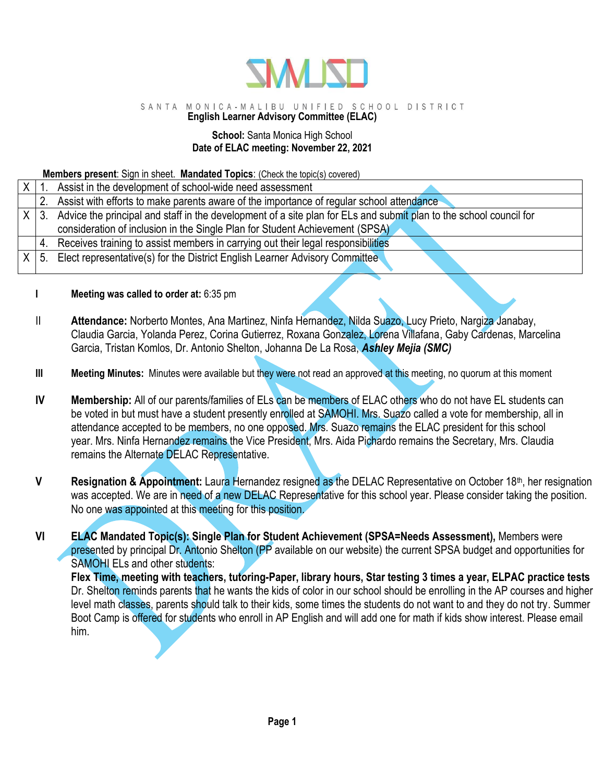

## SANTA MONICA-MALIBU UNIFIED SCHOOL DISTRICT

# **English Learner Advisory Committee (ELAC)**

### **School:** Santa Monica High School **Date of ELAC meeting: November 22, 2021**

### **Members present**: Sign in sheet. **Mandated Topics**: (Check the topic(s) covered)

| Assist in the development of school-wide need assessment                                                                          |
|-----------------------------------------------------------------------------------------------------------------------------------|
| 2. Assist with efforts to make parents aware of the importance of regular school attendance                                       |
| Advice the principal and staff in the development of a site plan for ELs and submit plan to the school council for<br>$X \mid 3.$ |
| consideration of inclusion in the Single Plan for Student Achievement (SPSA)                                                      |
| 4. Receives training to assist members in carrying out their legal responsibilities                                               |
| Elect representative(s) for the District English Learner Advisory Committee                                                       |
|                                                                                                                                   |

### **I Meeting was called to order at:** 6:35 pm

- II **Attendance:** Norberto Montes, Ana Martinez, Ninfa Hernandez, Nilda Suazo, Lucy Prieto, Nargiza Janabay, Claudia Garcia, Yolanda Perez, Corina Gutierrez, Roxana Gonzalez, Lorena Villafana, Gaby Cardenas, Marcelina Garcia, Tristan Komlos, Dr. Antonio Shelton, Johanna De La Rosa, *Ashley Mejia (SMC)*
- **III Meeting Minutes:** Minutes were available but they were not read an approved at this meeting, no quorum at this moment
- **IV Membership:** All of our parents/families of ELs can be members of ELAC others who do not have EL students can be voted in but must have a student presently enrolled at SAMOHI. Mrs. Suazo called a vote for membership, all in attendance accepted to be members, no one opposed. Mrs. Suazo remains the ELAC president for this school year. Mrs. Ninfa Hernandez remains the Vice President, Mrs. Aida Pichardo remains the Secretary, Mrs. Claudia remains the Alternate DELAC Representative.
- **V Resignation & Appointment:** Laura Hernandez resigned as the DELAC Representative on October 18<sup>th</sup>, her resignation was accepted. We are in need of a new DELAC Representative for this school year. Please consider taking the position. No one was appointed at this meeting for this position.
- **VI ELAC Mandated Topic(s): Single Plan for Student Achievement (SPSA=Needs Assessment),** Members were presented by principal Dr. Antonio Shelton (PP available on our website) the current SPSA budget and opportunities for SAMOHI ELs and other students:

**Flex Time, meeting with teachers, tutoring-Paper, library hours, Star testing 3 times a year, ELPAC practice tests** Dr. Shelton reminds parents that he wants the kids of color in our school should be enrolling in the AP courses and higher level math classes, parents should talk to their kids, some times the students do not want to and they do not try. Summer Boot Camp is offered for students who enroll in AP English and will add one for math if kids show interest. Please email him.